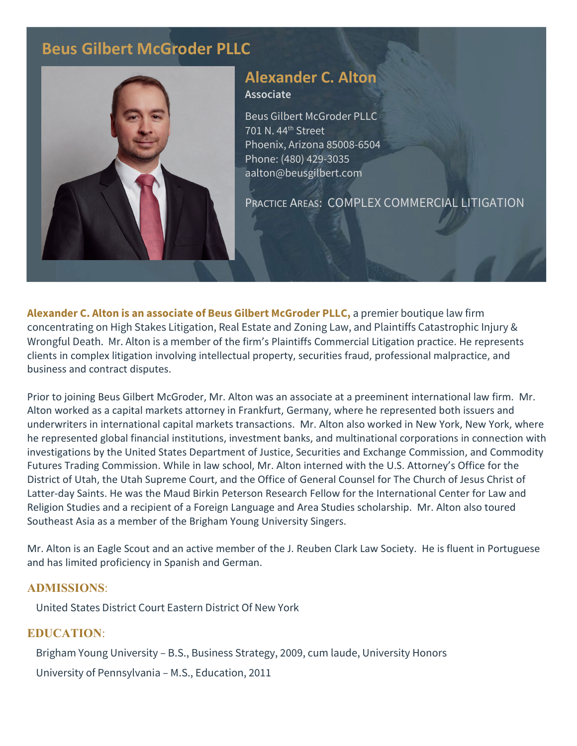# **Beus Gilbert McGroder PLLC**



## **Alexander C. Alton Associate**

Beus Gilbert McGroder PLLC 701 N. 44th Street Phoenix, Arizona 85008-6504 Phone: (480) 429-3035 aalton@beusgilbert.com

PRACTICE AREAS: COMPLEX COMMERCIAL LITIGATION

**Alexander C. Alton is an associate of Beus Gilbert McGroder PLLC,** a premier boutique law firm concentrating on High Stakes Litigation, Real Estate and Zoning Law, and Plaintiffs Catastrophic Injury & Wrongful Death. Mr. Alton is a member of the firm's Plaintiffs Commercial Litigation practice. He represents clients in complex litigation involving intellectual property, securities fraud, professional malpractice, and business and contract disputes.

Prior to joining Beus Gilbert McGroder, Mr. Alton was an associate at a preeminent international law firm. Mr. Alton worked as a capital markets attorney in Frankfurt, Germany, where he represented both issuers and underwriters in international capital markets transactions. Mr. Alton also worked in New York, New York, where he represented global financial institutions, investment banks, and multinational corporations in connection with investigations by the United States Department of Justice, Securities and Exchange Commission, and Commodity Futures Trading Commission. While in law school, Mr. Alton interned with the U.S. Attorney's Office for the District of Utah, the Utah Supreme Court, and the Office of General Counsel for The Church of Jesus Christ of Latter-day Saints. He was the Maud Birkin Peterson Research Fellow for the International Center for Law and Religion Studies and a recipient of a Foreign Language and Area Studies scholarship. Mr. Alton also toured Southeast Asia as a member of the Brigham Young University Singers.

Mr. Alton is an Eagle Scout and an active member of the J. Reuben Clark Law Society. He is fluent in Portuguese and has limited proficiency in Spanish and German.

### **ADMISSIONS**:

United States District Court Eastern District Of New York

### **EDUCATION**:

Brigham Young University – B.S., Business Strategy, 2009, cum laude, University Honors

University of Pennsylvania – M.S., Education, 2011